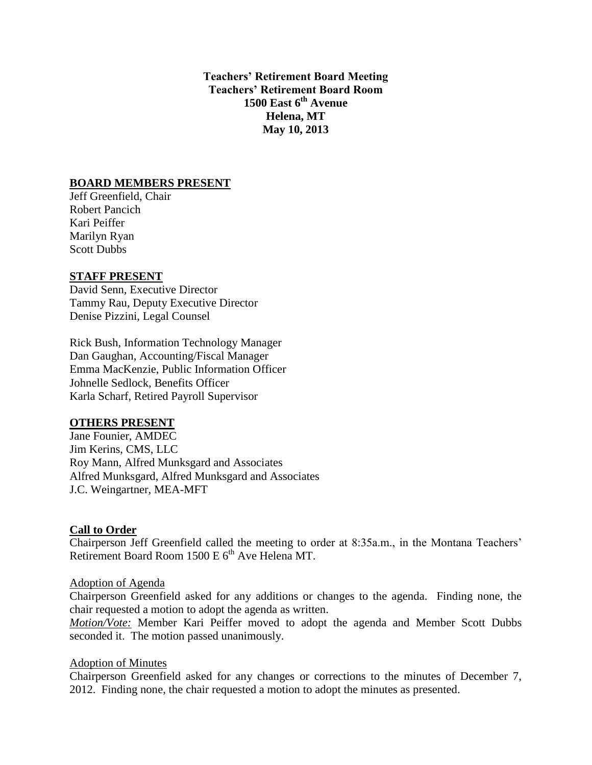**Teachers' Retirement Board Meeting Teachers' Retirement Board Room 1500 East 6th Avenue Helena, MT May 10, 2013**

## **BOARD MEMBERS PRESENT**

Jeff Greenfield, Chair Robert Pancich Kari Peiffer Marilyn Ryan Scott Dubbs

## **STAFF PRESENT**

David Senn, Executive Director Tammy Rau, Deputy Executive Director Denise Pizzini, Legal Counsel

Rick Bush, Information Technology Manager Dan Gaughan, Accounting/Fiscal Manager Emma MacKenzie, Public Information Officer Johnelle Sedlock, Benefits Officer Karla Scharf, Retired Payroll Supervisor

## **OTHERS PRESENT**

Jane Founier, AMDEC Jim Kerins, CMS, LLC Roy Mann, Alfred Munksgard and Associates Alfred Munksgard, Alfred Munksgard and Associates J.C. Weingartner, MEA-MFT

# **Call to Order**

Chairperson Jeff Greenfield called the meeting to order at 8:35a.m., in the Montana Teachers' Retirement Board Room  $1500 \text{ E } 6^{\text{th}}$  Ave Helena MT.

## Adoption of Agenda

Chairperson Greenfield asked for any additions or changes to the agenda. Finding none, the chair requested a motion to adopt the agenda as written.

*Motion/Vote:* Member Kari Peiffer moved to adopt the agenda and Member Scott Dubbs seconded it. The motion passed unanimously.

## Adoption of Minutes

Chairperson Greenfield asked for any changes or corrections to the minutes of December 7, 2012. Finding none, the chair requested a motion to adopt the minutes as presented.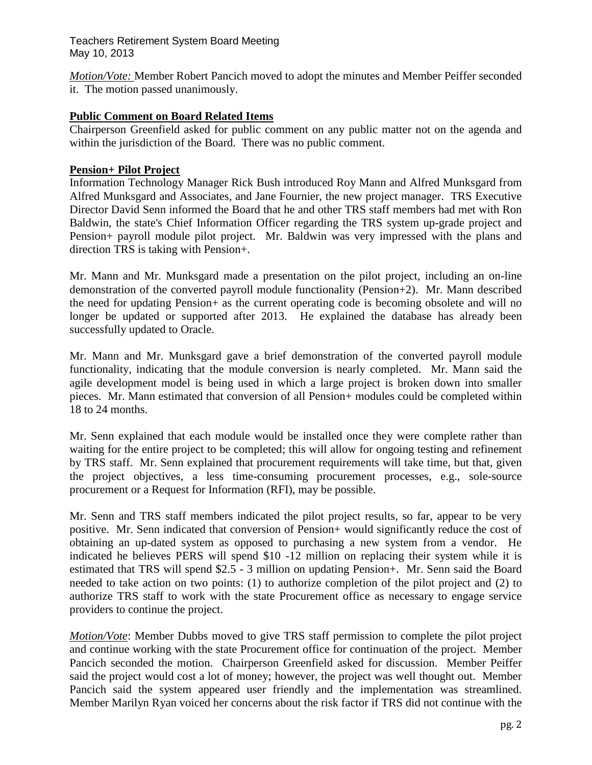*Motion/Vote:* Member Robert Pancich moved to adopt the minutes and Member Peiffer seconded it. The motion passed unanimously.

## **Public Comment on Board Related Items**

Chairperson Greenfield asked for public comment on any public matter not on the agenda and within the jurisdiction of the Board. There was no public comment.

## **Pension+ Pilot Project**

Information Technology Manager Rick Bush introduced Roy Mann and Alfred Munksgard from Alfred Munksgard and Associates, and Jane Fournier, the new project manager. TRS Executive Director David Senn informed the Board that he and other TRS staff members had met with Ron Baldwin, the state's Chief Information Officer regarding the TRS system up-grade project and Pension+ payroll module pilot project. Mr. Baldwin was very impressed with the plans and direction TRS is taking with Pension+.

Mr. Mann and Mr. Munksgard made a presentation on the pilot project, including an on-line demonstration of the converted payroll module functionality (Pension+2). Mr. Mann described the need for updating Pension+ as the current operating code is becoming obsolete and will no longer be updated or supported after 2013. He explained the database has already been successfully updated to Oracle.

Mr. Mann and Mr. Munksgard gave a brief demonstration of the converted payroll module functionality, indicating that the module conversion is nearly completed. Mr. Mann said the agile development model is being used in which a large project is broken down into smaller pieces. Mr. Mann estimated that conversion of all Pension+ modules could be completed within 18 to 24 months.

Mr. Senn explained that each module would be installed once they were complete rather than waiting for the entire project to be completed; this will allow for ongoing testing and refinement by TRS staff. Mr. Senn explained that procurement requirements will take time, but that, given the project objectives, a less time-consuming procurement processes, e.g., sole-source procurement or a Request for Information (RFI), may be possible.

Mr. Senn and TRS staff members indicated the pilot project results, so far, appear to be very positive. Mr. Senn indicated that conversion of Pension+ would significantly reduce the cost of obtaining an up-dated system as opposed to purchasing a new system from a vendor. He indicated he believes PERS will spend \$10 -12 million on replacing their system while it is estimated that TRS will spend \$2.5 - 3 million on updating Pension+. Mr. Senn said the Board needed to take action on two points: (1) to authorize completion of the pilot project and (2) to authorize TRS staff to work with the state Procurement office as necessary to engage service providers to continue the project.

*Motion/Vote*: Member Dubbs moved to give TRS staff permission to complete the pilot project and continue working with the state Procurement office for continuation of the project. Member Pancich seconded the motion. Chairperson Greenfield asked for discussion. Member Peiffer said the project would cost a lot of money; however, the project was well thought out. Member Pancich said the system appeared user friendly and the implementation was streamlined. Member Marilyn Ryan voiced her concerns about the risk factor if TRS did not continue with the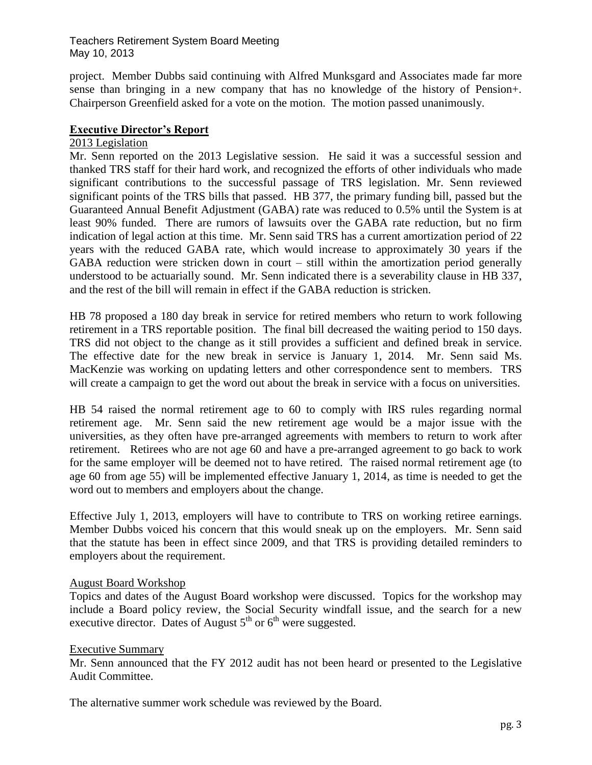project. Member Dubbs said continuing with Alfred Munksgard and Associates made far more sense than bringing in a new company that has no knowledge of the history of Pension+. Chairperson Greenfield asked for a vote on the motion. The motion passed unanimously.

## **Executive Director's Report**

## 2013 Legislation

Mr. Senn reported on the 2013 Legislative session. He said it was a successful session and thanked TRS staff for their hard work, and recognized the efforts of other individuals who made significant contributions to the successful passage of TRS legislation. Mr. Senn reviewed significant points of the TRS bills that passed. HB 377, the primary funding bill, passed but the Guaranteed Annual Benefit Adjustment (GABA) rate was reduced to 0.5% until the System is at least 90% funded. There are rumors of lawsuits over the GABA rate reduction, but no firm indication of legal action at this time. Mr. Senn said TRS has a current amortization period of 22 years with the reduced GABA rate, which would increase to approximately 30 years if the GABA reduction were stricken down in court – still within the amortization period generally understood to be actuarially sound. Mr. Senn indicated there is a severability clause in HB 337, and the rest of the bill will remain in effect if the GABA reduction is stricken.

HB 78 proposed a 180 day break in service for retired members who return to work following retirement in a TRS reportable position. The final bill decreased the waiting period to 150 days. TRS did not object to the change as it still provides a sufficient and defined break in service. The effective date for the new break in service is January 1, 2014. Mr. Senn said Ms. MacKenzie was working on updating letters and other correspondence sent to members. TRS will create a campaign to get the word out about the break in service with a focus on universities.

HB 54 raised the normal retirement age to 60 to comply with IRS rules regarding normal retirement age. Mr. Senn said the new retirement age would be a major issue with the universities, as they often have pre-arranged agreements with members to return to work after retirement. Retirees who are not age 60 and have a pre-arranged agreement to go back to work for the same employer will be deemed not to have retired. The raised normal retirement age (to age 60 from age 55) will be implemented effective January 1, 2014, as time is needed to get the word out to members and employers about the change.

Effective July 1, 2013, employers will have to contribute to TRS on working retiree earnings. Member Dubbs voiced his concern that this would sneak up on the employers. Mr. Senn said that the statute has been in effect since 2009, and that TRS is providing detailed reminders to employers about the requirement.

## August Board Workshop

Topics and dates of the August Board workshop were discussed. Topics for the workshop may include a Board policy review, the Social Security windfall issue, and the search for a new executive director. Dates of August  $5<sup>th</sup>$  or  $6<sup>th</sup>$  were suggested.

## Executive Summary

Mr. Senn announced that the FY 2012 audit has not been heard or presented to the Legislative Audit Committee.

The alternative summer work schedule was reviewed by the Board.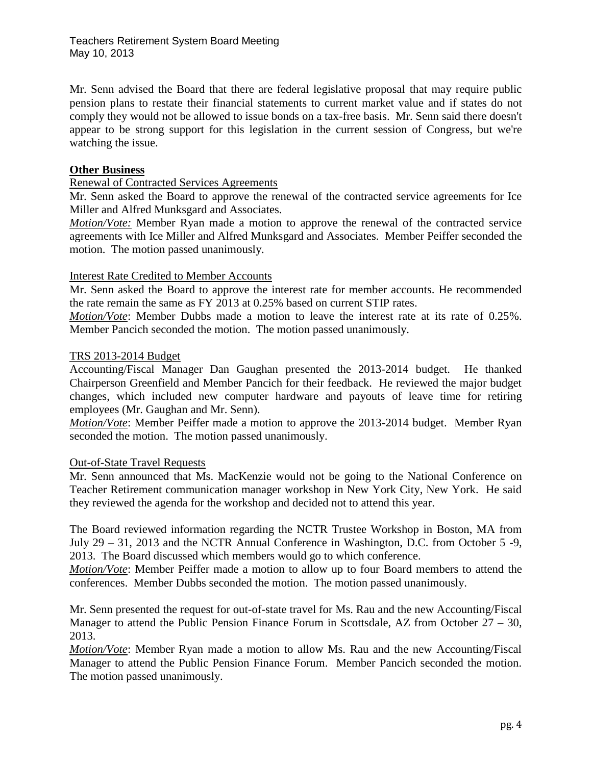Mr. Senn advised the Board that there are federal legislative proposal that may require public pension plans to restate their financial statements to current market value and if states do not comply they would not be allowed to issue bonds on a tax-free basis. Mr. Senn said there doesn't appear to be strong support for this legislation in the current session of Congress, but we're watching the issue.

## **Other Business**

## Renewal of Contracted Services Agreements

Mr. Senn asked the Board to approve the renewal of the contracted service agreements for Ice Miller and Alfred Munksgard and Associates.

*Motion/Vote:* Member Ryan made a motion to approve the renewal of the contracted service agreements with Ice Miller and Alfred Munksgard and Associates. Member Peiffer seconded the motion. The motion passed unanimously.

## Interest Rate Credited to Member Accounts

Mr. Senn asked the Board to approve the interest rate for member accounts. He recommended the rate remain the same as FY 2013 at 0.25% based on current STIP rates.

*Motion/Vote*: Member Dubbs made a motion to leave the interest rate at its rate of 0.25%. Member Pancich seconded the motion. The motion passed unanimously.

#### TRS 2013-2014 Budget

Accounting/Fiscal Manager Dan Gaughan presented the 2013-2014 budget. He thanked Chairperson Greenfield and Member Pancich for their feedback. He reviewed the major budget changes, which included new computer hardware and payouts of leave time for retiring employees (Mr. Gaughan and Mr. Senn).

*Motion/Vote*: Member Peiffer made a motion to approve the 2013-2014 budget. Member Ryan seconded the motion. The motion passed unanimously.

## Out-of-State Travel Requests

Mr. Senn announced that Ms. MacKenzie would not be going to the National Conference on Teacher Retirement communication manager workshop in New York City, New York. He said they reviewed the agenda for the workshop and decided not to attend this year.

The Board reviewed information regarding the NCTR Trustee Workshop in Boston, MA from July 29 – 31, 2013 and the NCTR Annual Conference in Washington, D.C. from October 5 -9, 2013. The Board discussed which members would go to which conference.

*Motion/Vote*: Member Peiffer made a motion to allow up to four Board members to attend the conferences. Member Dubbs seconded the motion. The motion passed unanimously.

Mr. Senn presented the request for out-of-state travel for Ms. Rau and the new Accounting/Fiscal Manager to attend the Public Pension Finance Forum in Scottsdale, AZ from October 27 – 30, 2013.

*Motion/Vote*: Member Ryan made a motion to allow Ms. Rau and the new Accounting/Fiscal Manager to attend the Public Pension Finance Forum. Member Pancich seconded the motion. The motion passed unanimously.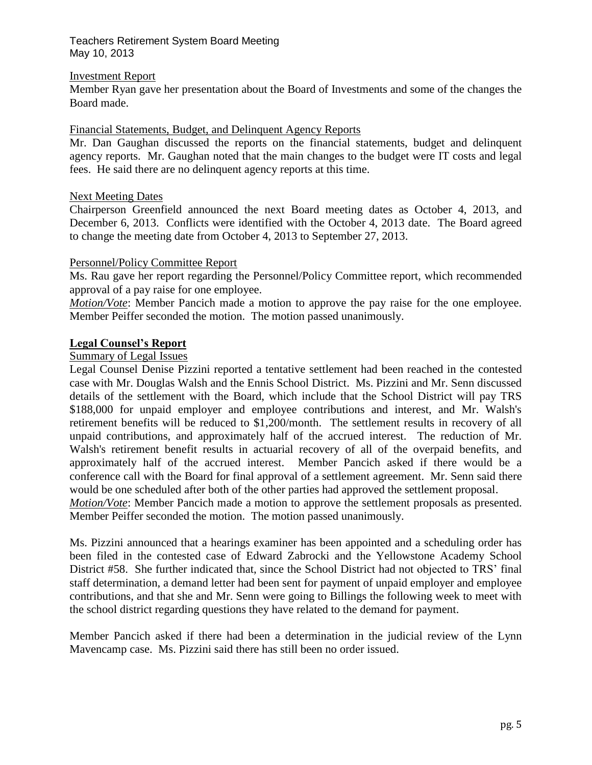#### Investment Report

Member Ryan gave her presentation about the Board of Investments and some of the changes the Board made.

#### Financial Statements, Budget, and Delinquent Agency Reports

Mr. Dan Gaughan discussed the reports on the financial statements, budget and delinquent agency reports. Mr. Gaughan noted that the main changes to the budget were IT costs and legal fees. He said there are no delinquent agency reports at this time.

#### Next Meeting Dates

Chairperson Greenfield announced the next Board meeting dates as October 4, 2013, and December 6, 2013. Conflicts were identified with the October 4, 2013 date. The Board agreed to change the meeting date from October 4, 2013 to September 27, 2013.

#### Personnel/Policy Committee Report

Ms. Rau gave her report regarding the Personnel/Policy Committee report, which recommended approval of a pay raise for one employee.

*Motion/Vote*: Member Pancich made a motion to approve the pay raise for the one employee. Member Peiffer seconded the motion. The motion passed unanimously.

#### **Legal Counsel's Report**

## Summary of Legal Issues

Legal Counsel Denise Pizzini reported a tentative settlement had been reached in the contested case with Mr. Douglas Walsh and the Ennis School District. Ms. Pizzini and Mr. Senn discussed details of the settlement with the Board, which include that the School District will pay TRS \$188,000 for unpaid employer and employee contributions and interest, and Mr. Walsh's retirement benefits will be reduced to \$1,200/month. The settlement results in recovery of all unpaid contributions, and approximately half of the accrued interest. The reduction of Mr. Walsh's retirement benefit results in actuarial recovery of all of the overpaid benefits, and approximately half of the accrued interest. Member Pancich asked if there would be a conference call with the Board for final approval of a settlement agreement. Mr. Senn said there would be one scheduled after both of the other parties had approved the settlement proposal.

*Motion/Vote*: Member Pancich made a motion to approve the settlement proposals as presented. Member Peiffer seconded the motion. The motion passed unanimously.

Ms. Pizzini announced that a hearings examiner has been appointed and a scheduling order has been filed in the contested case of Edward Zabrocki and the Yellowstone Academy School District #58. She further indicated that, since the School District had not objected to TRS' final staff determination, a demand letter had been sent for payment of unpaid employer and employee contributions, and that she and Mr. Senn were going to Billings the following week to meet with the school district regarding questions they have related to the demand for payment.

Member Pancich asked if there had been a determination in the judicial review of the Lynn Mavencamp case. Ms. Pizzini said there has still been no order issued.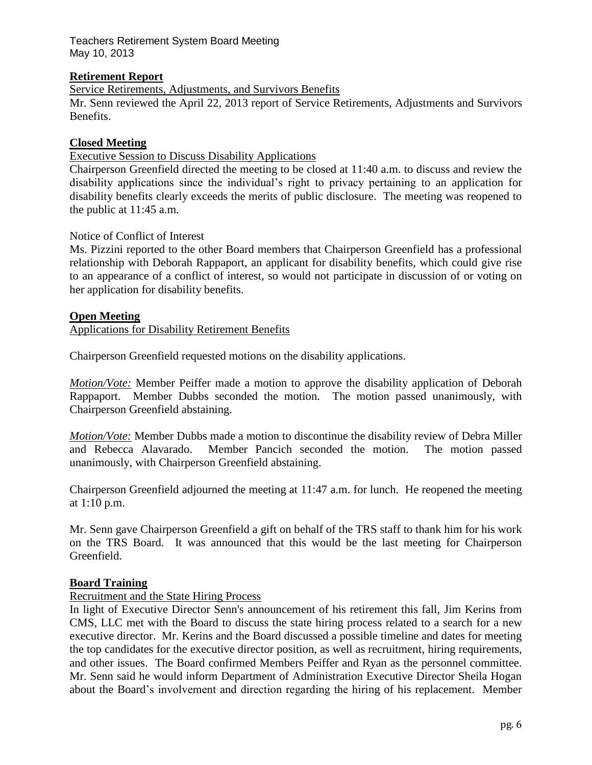## **Retirement Report**

Service Retirements, Adjustments, and Survivors Benefits Mr. Senn reviewed the April 22, 2013 report of Service Retirements, Adjustments and Survivors Benefits.

## **Closed Meeting**

Executive Session to Discuss Disability Applications

Chairperson Greenfield directed the meeting to be closed at 11:40 a.m. to discuss and review the disability applications since the individual's right to privacy pertaining to an application for disability benefits clearly exceeds the merits of public disclosure. The meeting was reopened to the public at 11:45 a.m.

#### Notice of Conflict of Interest

Ms. Pizzini reported to the other Board members that Chairperson Greenfield has a professional relationship with Deborah Rappaport, an applicant for disability benefits, which could give rise to an appearance of a conflict of interest, so would not participate in discussion of or voting on her application for disability benefits.

#### **Open Meeting**

Applications for Disability Retirement Benefits

Chairperson Greenfield requested motions on the disability applications.

*Motion/Vote:* Member Peiffer made a motion to approve the disability application of Deborah Rappaport. Member Dubbs seconded the motion. The motion passed unanimously, with Chairperson Greenfield abstaining.

*Motion/Vote:* Member Dubbs made a motion to discontinue the disability review of Debra Miller and Rebecca Alavarado. Member Pancich seconded the motion. The motion passed unanimously, with Chairperson Greenfield abstaining.

Chairperson Greenfield adjourned the meeting at 11:47 a.m. for lunch. He reopened the meeting at 1:10 p.m.

Mr. Senn gave Chairperson Greenfield a gift on behalf of the TRS staff to thank him for his work on the TRS Board. It was announced that this would be the last meeting for Chairperson Greenfield.

#### **Board Training**

## Recruitment and the State Hiring Process

In light of Executive Director Senn's announcement of his retirement this fall, Jim Kerins from CMS, LLC met with the Board to discuss the state hiring process related to a search for a new executive director. Mr. Kerins and the Board discussed a possible timeline and dates for meeting the top candidates for the executive director position, as well as recruitment, hiring requirements, and other issues. The Board confirmed Members Peiffer and Ryan as the personnel committee. Mr. Senn said he would inform Department of Administration Executive Director Sheila Hogan about the Board's involvement and direction regarding the hiring of his replacement. Member